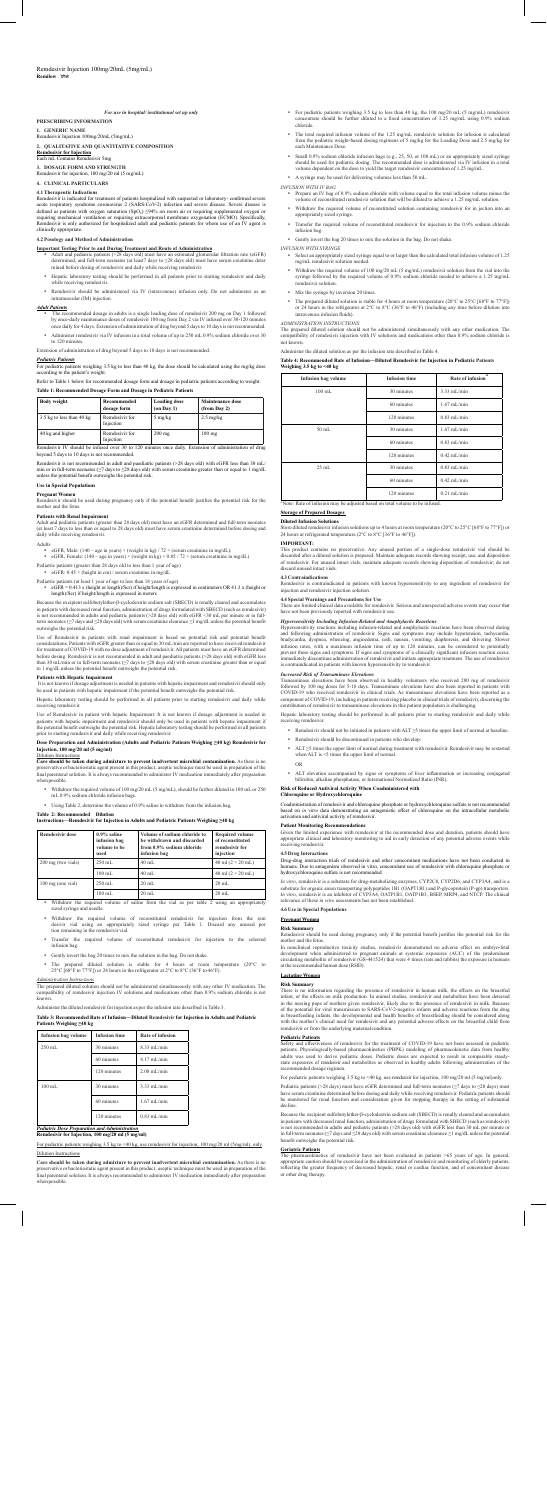# **PRESCRIBING INFORMATION**

**1. GENERIC NAME** Remdesivir Injection 100mg/20mL (5mg/mL)

### **2. QUALITATIVE AND QUANTITATIVE COMPOSITION**

**Remdesivir for Injection** Each mL Contains Remdesivir 5mg

**3. DOSAGE FORM AND STRENGTH**

, 100 mg/20 ml (5 mg/mL)

### **4. CLINICAL PARTICULARS**

4.1 Therapeutic Indications<br>Remotestive Indicated for treatment of patients hospitalized with suspected or laboratory- confirmed severe<br>acute respiratory syndrome coronavirus 2 (SARS-CoV-2) infection and severe disease. Se

- **Important Testing Prior to and During Treatment and Route of Administration**<br>• Adult and pediatric patients (>28 days old) must have an estimated glomerular filtration rate (eGFR) determined, and full-term neonates (at least7 days to ≤28 days old) must have serum creatinine deter mined before dosing of remdesivir and daily while receiving remdesivir.
- Hepatic laboratory testing should be performed in all patients prior to starting remdesivir and daily while receiving remdesivir.
- Remdesivir should be administered via IV (intravenous) infusion only. Do not administer as an intramuscular (IM) injection.

### **4.2 Posology and Method of Administration**

### *Adult Patients*

- The recommended dosage in adults is a single loading dose of remdesivir 200 mg on Day 1 followed<br>by once-daily maintenance doses of remdesivir 100 mg from Day 2 via IV infused over 30-120 minutes<br>once daily for 4 days. Ext ster remdesivir via IV infusion in a total volume of up to 250 mL 0.9% sodium chloride over 30
- Administer remeters. Extension of administration of drug beyond 5 days to 10 days is not recomm

*Pediatric Patients* For pediatric patients weighing 3.5 kg to less than 40 kg, the dose should be calculated using the mg/kg dose according to the patient's weight.

### Refer to Table 1 below for recommended dosage form and dosage in pediatric patients according to weight. **Table 1: Recommended Dosage Form and Dosage in Pediatric Patients**

| <b>Body weight</b>        | Recommended<br>dosage form  | <b>Loading dose</b><br>$($ on Day 1 $)$ | <b>Maintenance dose</b><br>(from Day 2) |
|---------------------------|-----------------------------|-----------------------------------------|-----------------------------------------|
| 3.5 kg to less than 40 kg | Remdesivir for<br>Injection | $5 \text{ mg/kg}$                       | $2.5 \text{ mg/kg}$                     |
| 40 kg and higher          | Remdesivir for<br>Injection | $200$ mg                                | $100$ mg                                |

Remdesivir is not recommended in adult and paediatric patients (>28 days old) with eGFR less than 30 mL/<br>min or in full-term neonates (≥7 days to ≤28 days old) with serum creatinine greater than or equal to 1 mg/dL<br>unless

## **Dose Preparation and Administration (Adults and Pediatric Patients Weighing ≥40 kg) Remdesivir for Injection, 100 mg/20 ml (5 mg/ml)** Injection, 100 is

**Care should be taken during admixture to prevent inadvertent microbial contamination.** As there is no<br>preservative or bacteriostatic agent present in this product, aseptic technique must be used in preparation of the<br>fina preserval...<br>final parentera<br>when possible

# **Use in Special Populations**

**Pregnant Women** Remdesivir should be used during pregnancy only if the potential benefit justifies the potential risk for the mother and the fetus.

**Patients with Renal Impairment**<br>Adult and pediatric patients (greater than 28 days old) must have an eGFR determined and full-term neonates<br>(at least 7 days to less than or equal to 28 days old) must have serum creatinine

### Adults

• cGFR, Male:  $(140 - \text{age in years}) \times (\text{weight in kg}) / 72 \times (\text{serum creating in mg/dL})$ <br>• cGFR, Female:  $(140 - \text{age in years}) \times (\text{weight in kg}) \times 0.85 / 72 \times (\text{serum creating in mg/dL})$ 

Pediatric patients (greater than 28 days old to less than 1 year of age)<br>
• eGFR: 0.45 × (height in cm) / serum creatinine in mg/dL

Pediatric patients (at least 1 year of age to less than 18 years of age)<br>• GTR = 0.413 x (height or length)/Ser) if height/length is expressed in centimeters OR 41.3 x (height or<br>length)/Ser) if height/length is expressed

Because the excipient sulfobuty<br>lether-p-cyclodextrin sodium salt (SBECD) is renally cleared and accumulates<br>in patients with decreased renal function, administration of drugs formulated with SBECD (such as remdesivir)<br>is

Use of Remdesivir in patients with renal impairment is based on potential risk and potential benefit<br>considerations. Patients with GFR greater than or equal to 30 mL/min are reported to have received remdesivir<br>for treatm

**Patients with Hepatic Impairment**<br>It is not known if dosage adjustment is needed in patients with hepatic impairment and remdesivir should only<br>be used in patients with hepatic impairment if the potential benefit outweigh

 Withdraw the required volume of saline from the vial as per table 2 using an appropriately Withdraw the required.<br>sized syringe and needle.

Care should be taken during admixture to prevent inadvertent microbial contamination. As there is no<br>preservative or bacteriostatic agent present in this product, aseptic technique must be used in preparation of the<br>final when possible.

In nonclinical reproductive toxicity studies, remdesivir demonstrated no adverse effect on embryo-fetal<br>development when administered to pregnant animals at systemic exposures (AUC) of the predominant<br>circulating metabolit

Hepatic laboratory testing should be performed in all patients prior to starting remdesivir and daily while receiving remdesivir.

Use of Remdesivir in patient with hepatic Impairment: It is not known if dosage adjustment is needed in<br>patients with hepatic impairment and remdesivir should only be used in patients with hepatic impairment if<br>the potenti

 Withdraw the required volume of 100 mg/20 mL (5 mg/mL), should be further diluted in 100 mL or 250 mL 0.9% sodium chloride infusion bags.

 Using Table 2, determine the volume of 0.9% saline to withdraw from the infusion bag.

# **Table 2: Recommended Dilution Instructions—Remdesivir for Injection in Adults and Pediatric Patients Weighing ≥40 kg**

| <b>Remdesivir dose</b> | $0.9\%$ saline<br>infusion bag<br>volume to be<br>used | Volume of sodium chloride to<br>be withdrawn and discarded<br>from 0.9% sodium chloride<br>infusion bag | <b>Required volume</b><br>of reconstituted<br>remdesivir for<br>iniection |
|------------------------|--------------------------------------------------------|---------------------------------------------------------------------------------------------------------|---------------------------------------------------------------------------|
| 200 mg (two vials)     | $250$ mL                                               | $40$ mL                                                                                                 | 40 ml $(2 \times 20$ mL)                                                  |
|                        | $100$ mL                                               | $40$ mL                                                                                                 | 40 ml $(2 \times 20$ mL)                                                  |
| 100 mg (one vial)      | 250 mL                                                 | $20$ mL                                                                                                 | $20$ mL                                                                   |
|                        | $100$ mL                                               | $20$ mL                                                                                                 | $20$ mL                                                                   |

 Withdraw the required volume of reconstituted remdesivir for injection from the rem desivir vial using an appropriately sized syringe per Table 1. Discard any unused por tion remaining in the remdesivir vial.

### *Administration Instructions*

The prepared diluted solution should not be administered simultaneously with any other IV medication. The compatibility of remdesivir injection IV solutions and medications other than 0.9% sodium chloride is not known.

Administer the diluted remdesivir for injection as per the infusion rate described in Table 3.

# **Table 3: Recommended Rate of Infusion—Diluted Remdesivir for Injection in Adults and Pediatric Patients Weighing ≥40 kg**

| <b>Infusion bag volume</b> | <b>Infusion time</b> | Rate of infusion  |
|----------------------------|----------------------|-------------------|
| 250 mL                     | 30 minutes           | $8.33$ mI $/$ min |
|                            | 60 minutes           | 4.17 mL/min       |
|                            | 120 minutes          | $2.08$ mL/min     |
| $100 \text{ mL}$           | 30 minutes           | $3.33$ mI $/$ min |
|                            | 60 minutes           | $1.67$ mL/min     |
|                            | 120 minutes          | $0.83$ mL/min     |

# *Pediatric Dose Preparation and Administration*  **Remdesivir for Injection, 100 mg/20 ml (5 mg/ml)**

For pediatric patients weighing 3.5 kg to <40 kg, use remdesivir for injection, 100 mg/20 ml (5mg/ml), only

Dilution Instructions

Pediatric patients (>28 days) must have eGFR determined and full-term neonates (≥7 days to ≤28 days) must<br>have serum creatinine determined before dosing and daily while receiving remdesivir. Pediatric patients should<br>be m decline.

- For pediatric patients weighing 3.5 kg to less than 40 kg, the 100 mg/20 mL (5 mg/mL) remdesivir concentrate should be further diluted to a fixed concentration of 1.25 mg/mL using 0.9% sodium chloride.
- The total required infusion volume of the 1.25 mg/mL remdesivir solution for infusion is calculated from the pediatric weight-based dosing regimens of 5 mg/kg for the Loading Dose and 2.5 mg/kg for each Maintenance Dose.
- Small 0.9% sodium chloride infusion bags (e.g., 25, 50, or 100 mL) or an appropriately sized syringe<br>should be used for pediatric dosing. The recommended dose is administered via IV infusion in a total<br>volume dependent o A syringe may be used for delivering volumes less than 50 mL.

- INFUSION WITH IV BAG<br>• Prepare an IV bag of 0.9% sodium chloride with volume equal to the total infusion volume minus the<br>• volume of reconstituted remdesivir solution that will be diluted to achieve a 1.25 mg/mL solution.
- Withdraw the required volume of reconstituted solution containing remdesivir for in jection into an appropriately sized syringe.
	- Transfer the required volume of reconstituted remdesivir for injection to the 0.9% sodium chloride infusion bag.
- Gently invert the bag 20 times to mix the solution in the bag. Do not shake.
- *INFUSION WITH SYRINGE*  Select an appropriately sized syringe equal to or larger than the calculated total infusion volume of 1.25 mg/mL remdesivir solution needed.
- Withdraw the required volume of 100 mg/20 mL (5 mg/mL) remdesivir solution from the vial into the syringe followed by the required volume of 0.9% sodium chloride needed to achieve a 1.25 mg/mL syringe followed<br>remdesivir soluti
	- Mix the syringe by inversion 20 times.
- The prepared diluted solution is stable for 4 hours at room temperature (20°C to 25°C [68°F to 77°F]) or 24 hours in the refrigerator at 2°C to 8°C (36°F to 46°F) (including any time before dilution into intravenous inf

### *ADMINISTRATION INSTRUCTIONS*

The prepared diluted solution should not be administered simultaneously with any other medication. The compatibility of remdesivir injection with IV solutions and medications other than 0.9% sodium chloride is not known.

# Administer the diluted solution as per the infusion rate described in Table 4.

**Table 4: Recommended Rate of Infusion—Diluted Remdesivir for Injection in Pediatric Patients Weighing 3.5 kg to <40 kg**

| <b>Infusion bag volume</b> | <b>Infusion time</b> | a<br><b>Rate of infusion</b> |
|----------------------------|----------------------|------------------------------|
| $100$ mL                   | 30 minutes           | 3.33 mL/min                  |
|                            | 60 minutes           | $1.67$ mL/min                |
|                            | 120 minutes          | $0.83$ mL/min                |
| $50$ mL                    | 30 minutes           | $1.67$ mL/min                |
|                            | 60 minutes           | $0.83$ mL/min                |
|                            | 120 minutes          | $0.42$ mL/min                |
| $25$ mL                    | 30 minutes           | $0.83$ mL/min                |
|                            | 60 minutes           | $0.42$ mL/min                |
|                            | 120 minutes          | $0.21$ mL/min                |

e: Rate of infusion may be adjusted based on total volume to be infus

# **Storage of Prepared Dosages**

### **Diluted Infusion Solutions**

Store diluted remdesivir infusion solutions up to 4 hours at room temperature (20°C to 25°C [68°F to 77°F]) or 24 hours at refrigerated temperature (2°C to 8°C [36°F to 46°F]).

**IMPORTANT:**<br>This product contains no preservative. Any unused portion of a single-dose remdesivir vial should be<br>discarded after a diluted solution is prepared. Maintain adequate records showing receipt, use, and disposit ard unused intact vials

**4.3 Contraindications** Remdesivir is contraindicated in patients with known hypersensitivity to any ingredient of remdesivir for injection and remdesivir injection solution.

**4.4 Special Warnings and Precautions for Use**<br>There are limited clinical data available for remdesivir. Serious and unexpected adverse events may occur that<br>have not been previously reported with remdesivir use.

*Hypersensitivity Including Infusion-Related and Anaphylactic Reactions*<br>
Hypersensitivity reactions including Infusion-related and amphylactic reactions have been observed during<br>
Hypersensitivity reactions including infu

*Increased Risk of Transaminase Elevations*<br>Transaminase *Elevations*<br>Tollowed by 100 mg doses for 5-10 days. Transaminase elevations have also been reported in patients with<br>followed by 100 mg doses for 5-10 days. Transam

Hepatic laboratory testing should be performed in all patients prior to starting remdesivir and daily while receiving remdesivir.

- Remdesivir should not be initiated in patients with ALT ≥5 times the upper limit of normal at baseline. Remdesivir should be discontinued in patients who develop:
- ALT ≥5 times the upper limit of normal during treatment with remdesivir. Remdesivir may be restarted when ALT is <5 times the upper limit of normal.
- OR ALT elevation accompanied by signs or symptoms of liver inflammation or increasing conjugated bilirubin, alkaline phosphatase, or International Normalized Ratio (INR).
- 

### **Risk of Reduced Antiviral Activity When Coadministered with Chloroquine or Hydroxychloroquine**

Coadministration of remdesivir and chloroquine phosphate or hydroxychloroquine sulfate is not recommended<br>based on *in vitro d*ata demonstrating an antagonistic effect of chloroquine on the intracellular metabolic<br>activati

**Patient Monitoring Recommendations**<br>Given the limited experience with remdesivir at the recommended dose and duration, patients should have<br>appropriate clinical and laboratory monitoring to aid in early detection of any p

4.5 Drug Interactions<br>Drug-drug interaction trials of remdesivir and other concomitant medications have not been conducted in<br>humans. Due to antagonism observed in vitro, concomitant use of remdesivir with chloroquine phos

*In vitro*, remdesivir is a substrate for drug-metabolizing enzymes, CYP2C8, CYP2D6, and CYP3A4, and is a substrate for organic anion transporting polypeptides 1B1 (OAPT1B1) and P-glycoprotein (P-gp) transporters.<br>In vitr

## **4.6 Use in Special Populations**

# **Pregnant Women**

**Risk Summary** Remdesivir should be used during pregnancy only if the potential benefit justifies the potential risk for the mother and the fetus.

- Transfer the required volume of reconstituted remdesivir infusion bag.
- Gently invert the bag 20 times to mix the solution in the bag. Do not shake.
- The prepared diluted solution is stable for 4 hours at room temperature (20°C to  $25^{\circ}\text{C}$  [68°F to 77°F]) or 24 hours in the refrigerator at  $2^{\circ}\text{C}$  to  $8^{\circ}\text{C}$  (36°F to 46°F).

## **Lactating Women**

# **Risk Summary**

There is no information regarding the presence of remdesivir in human milk, the effects on the breastFed inflatt, or the effects on milk production. In animal studies, remdesivir and metabolites have been detected in the n

### **Pediatric Patients**

Safety and effectiveness of remdesivir for the treatment of COVID-19 have not been assessed in pediatric<br>patients. Physiologically-based pharmacokinetics (PBPK) modeling of pharmacokinetic data from healthy<br>datults was use nded dosage regim

For pediatric patients weighing 3.5 kg to <40 kg, use remdesivir for injection, 100 mg/20 ml (5 mg/ml)only.

Because the excipient sulfobutylether-β-cyclodextrin sodium salt (SBECD) is renally cleared and accumulates in patients with decreased renal function, administration of drugs formulated with SBECD (such as remdesivir)<br>is not recommended in adults and pediatric patients (>28 days old) with eGFR less than 30 mL per minute or<br>in f benefit outweighs the potential risk.

# **Geriatric Patients**

The pharmacokinetics of remdesivir have not been evaluated in patients >65 years of age*.* In general, appropriate caution should be exercised in the administration of remdesivir and monitoring of elderly patients, reflecting the greater frequency of decreased hepatic, renal or cardiac function, and of concomitant disease or other drug therapy.

### Remdesivir Injection 100mg/20mL (5mg/mL) **Remilow**

## *For use in hospital/ institutional set up only*